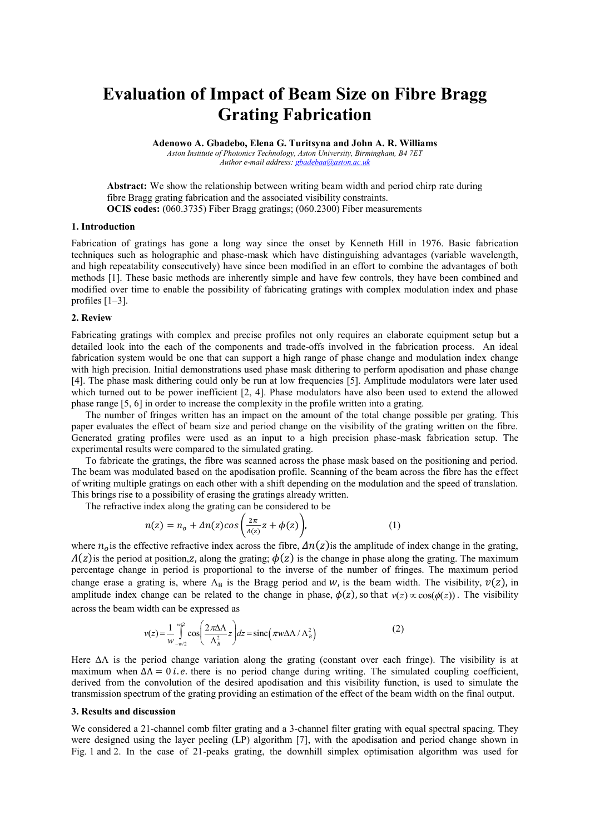# **Evaluation of Impact of Beam Size on Fibre Bragg Grating Fabrication**

**Adenowo A. Gbadebo, Elena G. Turitsyna and John A. R. Williams** *Aston Institute of Photonics Technology, Aston University, Birmingham, B4 7ET*

*Author e-mail address[: gbadebaa@aston.ac.uk](mailto:gbadebaa@aston.ac.uk)*

**Abstract:** We show the relationship between writing beam width and period chirp rate during fibre Bragg grating fabrication and the associated visibility constraints. **OCIS codes:** (060.3735) Fiber Bragg gratings; (060.2300) Fiber measurements

#### **1. Introduction**

Fabrication of gratings has gone a long way since the onset by Kenneth Hill in 1976. Basic fabrication techniques such as holographic and phase-mask which have distinguishing advantages (variable wavelength, and high repeatability consecutively) have since been modified in an effort to combine the advantages of both methods [1]. These basic methods are inherently simple and have few controls, they have been combined and modified over time to enable the possibility of fabricating gratings with complex modulation index and phase profiles [1–3].

### **2. Review**

Fabricating gratings with complex and precise profiles not only requires an elaborate equipment setup but a detailed look into the each of the components and trade-offs involved in the fabrication process. An ideal fabrication system would be one that can support a high range of phase change and modulation index change with high precision. Initial demonstrations used phase mask dithering to perform apodisation and phase change [4]. The phase mask dithering could only be run at low frequencies [5]. Amplitude modulators were later used which turned out to be power inefficient [2, 4]. Phase modulators have also been used to extend the allowed phase range [5, 6] in order to increase the complexity in the profile written into a grating.

The number of fringes written has an impact on the amount of the total change possible per grating. This paper evaluates the effect of beam size and period change on the visibility of the grating written on the fibre. Generated grating profiles were used as an input to a high precision phase-mask fabrication setup. The experimental results were compared to the simulated grating.

To fabricate the gratings, the fibre was scanned across the phase mask based on the positioning and period. The beam was modulated based on the apodisation profile. Scanning of the beam across the fibre has the effect of writing multiple gratings on each other with a shift depending on the modulation and the speed of translation. This brings rise to a possibility of erasing the gratings already written.

The refractive index along the grating can be considered to be

$$
n(z) = n_o + \Delta n(z) \cos \left(\frac{2\pi}{\Lambda(z)} z + \phi(z)\right),\tag{1}
$$

where  $n_o$  is the effective refractive index across the fibre,  $\Delta n(z)$  is the amplitude of index change in the grating,  $\Lambda(z)$  is the period at position, z, along the grating;  $\phi(z)$  is the change in phase along the grating. The maximum percentage change in period is proportional to the inverse of the number of fringes. The maximum period change erase a grating is, where  $\Lambda_B$  is the Bragg period and w, is the beam width. The visibility,  $v(z)$ , in amplitude index change can be related to the change in phase,  $\phi(z)$ , so that  $v(z) \propto \cos(\phi(z))$ . The visibility across the beam width can be expressed as

$$
v(z) = \frac{1}{w} \int_{-w/2}^{w/2} \cos\left(\frac{2\pi\Delta\Lambda}{\Lambda_B^2} z\right) dz = \text{sinc}\left(\pi w \Delta\Lambda / \Lambda_B^2\right)
$$
 (2)

Here  $\Delta\Lambda$  is the period change variation along the grating (constant over each fringe). The visibility is at maximum when  $\Delta \Lambda = 0$  *i.e.* there is no period change during writing. The simulated coupling coefficient, derived from the convolution of the desired apodisation and this visibility function, is used to simulate the transmission spectrum of the grating providing an estimation of the effect of the beam width on the final output.

#### **3. Results and discussion**

We considered a 21-channel comb filter grating and a 3-channel filter grating with equal spectral spacing. They were designed using the layer peeling (LP) algorithm [7], with the apodisation and period change shown in Fig. 1 and 2. In the case of 21-peaks grating, the downhill simplex optimisation algorithm was used for